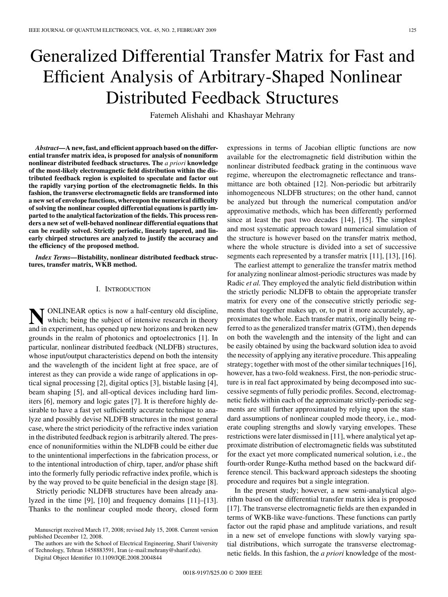# Generalized Differential Transfer Matrix for Fast and Efficient Analysis of Arbitrary-Shaped Nonlinear Distributed Feedback Structures

Fatemeh Alishahi and Khashayar Mehrany

*Abstract—***A new, fast, and efficient approach based on the differential transfer matrix idea, is proposed for analysis of nonuniform nonlinear distributed feedback structures. The** *a priori* **knowledge of the most-likely electromagnetic field distribution within the distributed feedback region is exploited to speculate and factor out the rapidly varying portion of the electromagnetic fields. In this fashion, the transverse electromagnetic fields are transformed into a new set of envelope functions, whereupon the numerical difficulty of solving the nonlinear coupled differential equations is partly imparted to the analytical factorization of the fields. This process renders a new set of well-behaved nonlinear differential equations that can be readily solved. Strictly periodic, linearly tapered, and linearly chirped structures are analyzed to justify the accuracy and the efficiency of the proposed method.**

*Index Terms—***Bistability, nonlinear distributed feedback structures, transfer matrix, WKB method.**

### I. INTRODUCTION

**NONLINEAR** optics is now a half-century old discipline,<br>which; being the subject of intensive research in theory and in experiment, has opened up new horizons and broken new grounds in the realm of photonics and optoelectronics [1]. In particular, nonlinear distributed feedback (NLDFB) structures, whose input/output characteristics depend on both the intensity and the wavelength of the incident light at free space, are of interest as they can provide a wide range of applications in optical signal processing [2], digital optics [3], bistable lasing [4], beam shaping [5], and all-optical devices including hard limiters [6], memory and logic gates [7]. It is therefore highly desirable to have a fast yet sufficiently accurate technique to analyze and possibly devise NLDFB structures in the most general case, where the strict periodicity of the refractive index variation in the distributed feedback region is arbitrarily altered. The presence of nonuniformities within the NLDFB could be either due to the unintentional imperfections in the fabrication process, or to the intentional introduction of chirp, taper, and/or phase shift into the formerly fully periodic refractive index profile, which is by the way proved to be quite beneficial in the design stage [8].

Strictly periodic NLDFB structures have been already analyzed in the time [9], [10] and frequency domains [11]–[13]. Thanks to the nonlinear coupled mode theory, closed form

The authors are with the School of Electrical Engineering, Sharif University of Technology, Tehran 1458883591, Iran (e-mail:mehrany@sharif.edu).

Digital Object Identifier 10.1109/JQE.2008.2004844

expressions in terms of Jacobian elliptic functions are now available for the electromagnetic field distribution within the nonlinear distributed feedback grating in the continuous wave regime, whereupon the electromagnetic reflectance and transmittance are both obtained [12]. Non-periodic but arbitrarily inhomogeneous NLDFB structures; on the other hand, cannot be analyzed but through the numerical computation and/or approximative methods, which has been differently performed since at least the past two decades [14], [15]. The simplest and most systematic approach toward numerical simulation of the structure is however based on the transfer matrix method, where the whole structure is divided into a set of successive segments each represented by a transfer matrix [11], [13], [16].

The earliest attempt to generalize the transfer matrix method for analyzing nonlinear almost-periodic structures was made by Radic *et al.* They employed the analytic field distribution within the strictly periodic NLDFB to obtain the appropriate transfer matrix for every one of the consecutive strictly periodic segments that together makes up, or, to put it more accurately, approximates the whole. Each transfer matrix, originally being referred to as the generalized transfer matrix (GTM), then depends on both the wavelength and the intensity of the light and can be easily obtained by using the backward solution idea to avoid the necessity of applying any iterative procedure. This appealing strategy; together with most of the other similar techniques [16], however, has a two-fold weakness. First, the non-periodic structure is in real fact approximated by being decomposed into successive segments of fully periodic profiles. Second, electromagnetic fields within each of the approximate strictly-periodic segments are still further approximated by relying upon the standard assumptions of nonlinear coupled mode theory, i.e., moderate coupling strengths and slowly varying envelopes. These restrictions were later dismissed in [11], where analytical yet approximate distribution of electromagnetic fields was substituted for the exact yet more complicated numerical solution, i.e., the fourth-order Runge-Kutha method based on the backward difference stencil. This backward approach sidesteps the shooting procedure and requires but a single integration.

In the present study; however, a new semi-analytical algorithm based on the differential transfer matrix idea is proposed [17]. The transverse electromagnetic fields are then expanded in terms of WKB-like wave-functions. These functions can partly factor out the rapid phase and amplitude variations, and result in a new set of envelope functions with slowly varying spatial distributions, which surrogate the transverse electromagnetic fields. In this fashion, the *a priori* knowledge of the most-

Manuscript received March 17, 2008; revised July 15, 2008. Current version published December 12, 2008.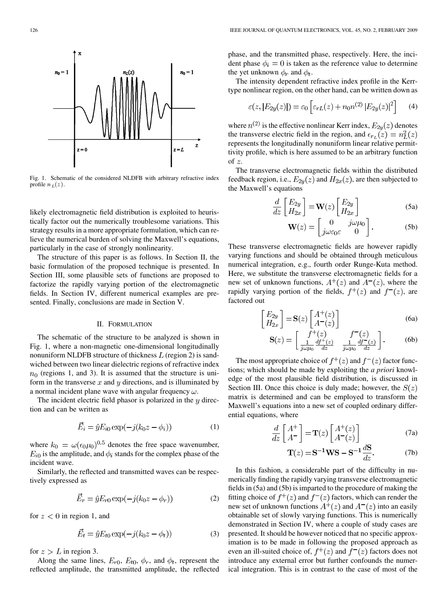

Fig. 1. Schematic of the considered NLDFB with arbitrary refractive index profile  $n_L(z)$ .

likely electromagnetic field distribution is exploited to heuristically factor out the numerically troublesome variations. This strategy results in a more appropriate formulation, which can relieve the numerical burden of solving the Maxwell's equations, particularly in the case of strongly nonlinearity.

The structure of this paper is as follows. In Section II, the basic formulation of the proposed technique is presented. In Section III, some plausible sets of functions are proposed to factorize the rapidly varying portion of the electromagnetic fields. In Section IV, different numerical examples are presented. Finally, conclusions are made in Section V.

### II. FORMULATION

The schematic of the structure to be analyzed is shown in Fig. 1, where a non-magnetic one-dimensional longitudinally nonuniform NLDFB structure of thickness  $L$  (region 2) is sandwiched between two linear dielectric regions of refractive index  $n_0$  (regions 1, and 3). It is assumed that the structure is uniform in the transverse  $x$  and  $y$  directions, and is illuminated by a normal incident plane wave with angular frequency  $\omega$ .

The incident electric field phasor is polarized in the  $y$  direction and can be written as

$$
\vec{E}_i = \hat{y} E_{i0} \exp(-j(k_0 z - \phi_i))
$$
 (1)

where  $k_0 = \omega(\epsilon_0 \mu_0)^{0.5}$  denotes the free space wavenumber,  $E_{i0}$  is the amplitude, and  $\phi_i$  stands for the complex phase of the incident wave.

Similarly, the reflected and transmitted waves can be respectively expressed as

$$
\vec{E}_r = \hat{y} E_{r0} \exp(-j(k_0 z - \phi_r))
$$
 (2)

for  $z < 0$  in region 1, and

$$
\vec{E}_t = \hat{y} E_{t0} \exp(-j(k_0 z - \phi_t))
$$
\n(3)

for  $z > L$  in region 3.

Along the same lines,  $E_{r0}$ ,  $E_{t0}$ ,  $\phi_r$ , and  $\phi_t$ , represent the reflected amplitude, the transmitted amplitude, the reflected phase, and the transmitted phase, respectively. Here, the incident phase  $\phi_i = 0$  is taken as the reference value to determine the yet unknown  $\phi_r$  and  $\phi_t$ .

The intensity dependent refractive index profile in the Kerrtype nonlinear region, on the other hand, can be written down as

$$
\varepsilon(z, |E_{2y}(z)|) = \varepsilon_0 \left[ \varepsilon_{rL}(z) + n_0 n^{(2)} |E_{2y}(z)|^2 \right] \tag{4}
$$

where  $n^{(2)}$  is the effective nonlinear Kerr index,  $E_{2y}(z)$  denotes the transverse electric field in the region, and  $\epsilon_{r}$   $(z) = n<sub>t</sub><sup>2</sup>(z)$ represents the longitudinally nonuniform linear relative permittivity profile, which is here assumed to be an arbitrary function of  $z$ .

The transverse electromagnetic fields within the distributed feedback region, i.e.,  $E_{2y}(z)$  and  $H_{2x}(z)$ , are then subjected to the Maxwell's equations

$$
\frac{d}{dz} \begin{bmatrix} E_{2y} \\ H_{2x} \end{bmatrix} = \mathbf{W}(z) \begin{bmatrix} E_{2y} \\ H_{2x} \end{bmatrix}
$$
\n(5a)

$$
\mathbf{W}(z) = \begin{bmatrix} 0 & j\omega\mu_0 \\ j\omega\varepsilon_0\varepsilon & 0 \end{bmatrix}.
$$
 (5b)

These transverse electromagnetic fields are however rapidly varying functions and should be obtained through meticulous numerical integration, e.g., fourth order Runge-Kuta method. Here, we substitute the transverse electromagnetic fields for a new set of unknown functions,  $A^+(z)$  and  $A^-(z)$ , where the rapidly varying portion of the fields,  $f^+(z)$  and  $f^-(z)$ , are factored out

$$
\begin{bmatrix} E_{2y} \\ H_{2x} \end{bmatrix} = \mathbf{S}(z) \begin{bmatrix} A^{+}(z) \\ A^{-}(z) \end{bmatrix}
$$
 (6a)

$$
\mathbf{S}(z) = \begin{bmatrix} f^+(z) & f^-(z) \\ \frac{1}{j\omega\mu_0} \frac{df^+(z)}{dz} & \frac{1}{j\omega\mu_0} \frac{df^-(z)}{dz} \end{bmatrix} . \tag{6b}
$$

The most appropriate choice of  $f^+(z)$  and  $f^-(z)$  factor functions; which should be made by exploiting the *a priori* knowledge of the most plausible field distribution, is discussed in Section III. Once this choice is duly made; however, the  $S(z)$ matrix is determined and can be employed to transform the Maxwell's equations into a new set of coupled ordinary differential equations, where

$$
\frac{d}{dz} \begin{bmatrix} A^+ \\ A^- \end{bmatrix} = \mathbf{T}(z) \begin{bmatrix} A^+(z) \\ A^-(z) \end{bmatrix}
$$
 (7a)

$$
\mathbf{T}(z) = \mathbf{S}^{-1} \mathbf{W} \mathbf{S} - \mathbf{S}^{-1} \frac{d\mathbf{S}}{dz}.
$$
 (7b)

In this fashion, a considerable part of the difficulty in numerically finding the rapidly varying transverse electromagnetic fields in (5a) and (5b) is imparted to the procedure of making the fitting choice of  $f^+(z)$  and  $f^-(z)$  factors, which can render the new set of unknown functions  $A^+(z)$  and  $A^-(z)$  into an easily obtainable set of slowly varying functions. This is numerically demonstrated in Section IV, where a couple of study cases are presented. It should be however noticed that no specific approximation is to be made in following the proposed approach as even an ill-suited choice of,  $f^+(z)$  and  $f^-(z)$  factors does not introduce any external error but further confounds the numerical integration. This is in contrast to the case of most of the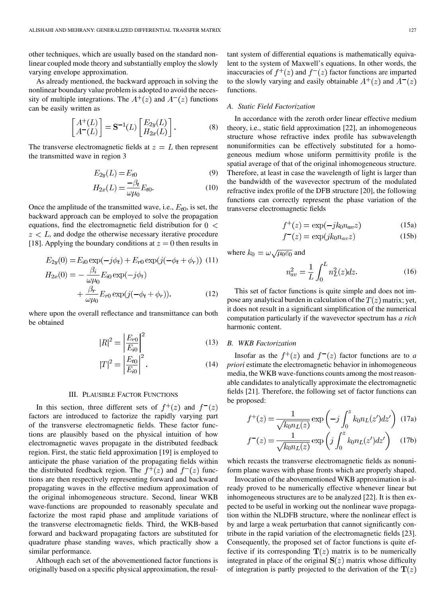other techniques, which are usually based on the standard nonlinear coupled mode theory and substantially employ the slowly varying envelope approximation.

As already mentioned, the backward approach in solving the nonlinear boundary value problem is adopted to avoid the necessity of multiple integrations. The  $A^{+}(z)$  and  $A^{-}(z)$  functions can be easily written as

$$
\begin{bmatrix} A^+(L) \\ A^-(L) \end{bmatrix} = \mathbf{S}^{-1}(L) \begin{bmatrix} E_{2y}(L) \\ H_{2x}(L) \end{bmatrix}.
$$
 (8)

The transverse electromagnetic fields at  $z = L$  then represent the transmitted wave in region 3

$$
E_{2y}(L) = E_{t0} \tag{9}
$$

$$
H_{2x}(L) = \frac{-\beta_t}{\omega \mu_0} E_{t0}.
$$
 (10)

Once the amplitude of the transmitted wave, i.e.,  $E_{t0}$ , is set, the backward approach can be employed to solve the propagation equations, find the electromagnetic field distribution for  $0 <$  $z < L$ , and dodge the otherwise necessary iterative procedure [18]. Applying the boundary conditions at  $z = 0$  then results in

$$
E_{2y}(0) = E_{i0} \exp(-j\phi_t) + E_{r0} \exp(j(-\phi_t + \phi_r))
$$
 (11)  
\n
$$
H_{2x}(0) = -\frac{\beta_i}{\omega\mu_0} E_{i0} \exp(-j\phi_t)
$$
\n
$$
+\frac{\beta_r}{\omega\mu_0} E_{r0} \exp(j(-\phi_t + \phi_r)).
$$
 (12)

where upon the overall reflectance and transmittance can both be obtained

$$
|R|^2 = \left|\frac{E_{r0}}{E_{i0}}\right|^2\tag{13}
$$

$$
|T|^2 = \left|\frac{E_{t0}}{E_{i0}}\right|^2.
$$
 (14)

# III. PLAUSIBLE FACTOR FUNCTIONS

In this section, three different sets of  $f^+(z)$  and  $f^-(z)$ factors are introduced to factorize the rapidly varying part of the transverse electromagnetic fields. These factor functions are plausibly based on the physical intuition of how electromagnetic waves propagate in the distributed feedback region. First, the static field approximation [19] is employed to anticipate the phase variation of the propagating fields within the distributed feedback region. The  $f^+(z)$  and  $f^-(z)$  functions are then respectively representing forward and backward propagating waves in the effective medium approximation of the original inhomogeneous structure. Second, linear WKB wave-functions are propounded to reasonably speculate and factorize the most rapid phase and amplitude variations of the transverse electromagnetic fields. Third, the WKB-based forward and backward propagating factors are substituted for quadrature phase standing waves, which practically show a similar performance.

Although each set of the abovementioned factor functions is originally based on a specific physical approximation, the resultant system of differential equations is mathematically equivalent to the system of Maxwell's equations. In other words, the inaccuracies of  $f^+(z)$  and  $f^-(z)$  factor functions are imparted to the slowly varying and easily obtainable  $A^+(z)$  and  $A^-(z)$ functions.

## *A. Static Field Factorization*

In accordance with the zeroth order linear effective medium theory, i.e., static field approximation [22], an inhomogeneous structure whose refractive index profile has subwavelength nonuniformities can be effectively substituted for a homogeneous medium whose uniform permittivity profile is the spatial average of that of the original inhomogeneous structure. Therefore, at least in case the wavelength of light is larger than the bandwidth of the wavevector spectrum of the modulated refractive index profile of the DFB structure [20], the following functions can correctly represent the phase variation of the transverse electromagnetic fields

$$
f^+(z) = \exp(-jk_0 n_{av} z) \tag{15a}
$$

$$
f^-(z) = \exp(jk_0 n_{av} z) \tag{15b}
$$

where  $k_0 = \omega \sqrt{\mu_0 \varepsilon_0}$  and

$$
n_{av}^2 = \frac{1}{L} \int_0^L n_L^2(z) dz.
$$
 (16)

This set of factor functions is quite simple and does not impose any analytical burden in calculation of the  $T(z)$  matrix; yet, it does not result in a significant simplification of the numerical computation particularly if the wavevector spectrum has *a rich* harmonic content.

## *B. WKB Factorization*

Insofar as the  $f^+(z)$  and  $f^-(z)$  factor functions are to *a priori* estimate the electromagnetic behavior in inhomogeneous media, the WKB wave-functions counts among the most reasonable candidates to analytically approximate the electromagnetic fields [21]. Therefore, the following set of factor functions can be proposed:

$$
f^+(z) = \frac{1}{\sqrt{k_0 n_L(z)}} \exp\left(-j \int_0^z k_0 n_L(z') dz'\right) (17a)
$$

$$
f^-(z) = \frac{1}{\sqrt{k_0 n_L(z)}} \exp\left(j \int_0^z k_0 n_L(z') dz'\right) (17b)
$$

which recasts the transverse electromagnetic fields as nonuniform plane waves with phase fronts which are properly shaped.

Invocation of the abovementioned WKB approximation is already proved to be numerically effective whenever linear but inhomogeneous structures are to be analyzed [22]. It is then expected to be useful in working out the nonlinear wave propagation within the NLDFB structure, where the nonlinear effect is by and large a weak perturbation that cannot significantly contribute in the rapid variation of the electromagnetic fields [23]. Consequently, the proposed set of factor functions is quite effective if its corresponding  $T(z)$  matrix is to be numerically integrated in place of the original  $S(z)$  matrix whose difficulty of integration is partly projected to the derivation of the  $T(z)$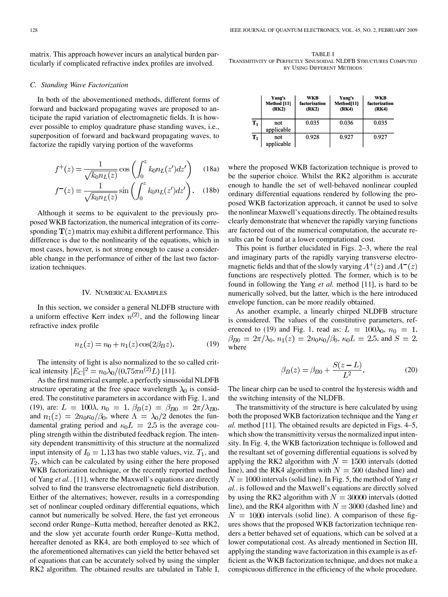matrix. This approach however incurs an analytical burden particularly if complicated refractive index profiles are involved.

#### *C. Standing Wave Factorization*

In both of the abovementioned methods, different forms of forward and backward propagating waves are proposed to anticipate the rapid variation of electromagnetic fields. It is however possible to employ quadrature phase standing waves, i.e., superposition of forward and backward propagating waves, to factorize the rapidly varying portion of the waveforms

$$
f^+(z) = \frac{1}{\sqrt{k_0 n_L(z)}} \cos\left(\int_0^z k_0 n_L(z') dz'\right) \quad (18a)
$$

$$
f^-(z) = \frac{1}{\sqrt{k_0 n_L(z)}} \sin\left(\int_0^z k_0 n_L(z')dz'\right). \quad (18b)
$$

Although it seems to be equivalent to the previously proposed WKB factorization, the numerical integration of its corresponding  $T(z)$  matrix may exhibit a different performance. This difference is due to the nonlinearity of the equations, which in most cases, however, is not strong enough to cause a considerable change in the performance of either of the last two factorization techniques.

#### IV. NUMERICAL EXAMPLES

In this section, we consider a general NLDFB structure with a uniform effective Kerr index  $n^{(2)}$ , and the following linear refractive index profile

$$
n_L(z) = n_0 + n_1(z) \cos(2\beta_B z). \tag{19}
$$

The intensity of light is also normalized to the so called critical intensity  $|E_C|^2 = n_0 \lambda_0 / (0.75 \pi n^{(2)} L)$  [11].

As the first numerical example, a perfectly sinusoidal NLDFB structure operating at the free space wavelength  $\lambda_0$  is considered. The constitutive parameters in accordance with Fig. 1, and (19), are:  $L = 100\lambda$ ,  $n_0 = 1$ ,  $\beta_B(z) = \beta_{B0} = 2\pi/\lambda_{B0}$ , and  $n_1(z) = 2n_0\kappa_0/\beta_0$ , where  $\Lambda = \lambda_0/2$  denotes the fundamental grating period and  $\kappa_0 L = 2.5$  is the average coupling strength within the distributed feedback region. The intensity dependent transmittivity of this structure at the normalized input intensity of  $I_0 = 1.13$  has two stable values, viz.  $T_1$ , and  $T_2$ , which can be calculated by using either the here proposed WKB factorization technique, or the recently reported method of Yang *et al.*. [11], where the Maxwell's equations are directly solved to find the transverse electromagnetic field distribution. Either of the alternatives; however, results in a corresponding set of nonlinear coupled ordinary differential equations, which cannot but numerically be solved. Here, the fast yet erroneous second order Runge–Kutta method, hereafter denoted as RK2, and the slow yet accurate fourth order Runge–Kutta method, hereafter denoted as RK4, are both employed to see which of the aforementioned alternatives can yield the better behaved set of equations that can be accurately solved by using the simpler RK2 algorithm. The obtained results are tabulated in Table I,

TABLE I TRANSMITIVITY OF PERFECTLY SINUSOIDAL NLDFB STRUCTURES COMPUTED BY USING DIFFERENT METHODS

|                | Yang's<br>Method [11]<br>(RK2) | WKB<br>factorization<br>(RK2) | Yang's<br>Method <sup>[11]</sup><br>(RK4) | WKB<br>factorization<br>(RK4) |
|----------------|--------------------------------|-------------------------------|-------------------------------------------|-------------------------------|
| $\mathbf{T}_1$ | not<br>applicable              | 0.035                         | 0.036                                     | 0.035                         |
| $T_{2}$        | not<br>applicable              | 0.928                         | 0.927                                     | 0.927                         |

where the proposed WKB factorization technique is proved to be the superior choice. Whilst the RK2 algorithm is accurate enough to handle the set of well-behaved nonlinear coupled ordinary differential equations rendered by following the proposed WKB factorization approach, it cannot be used to solve the nonlinear Maxwell's equations directly. The obtained results clearly demonstrate that whenever the rapidly varying functions are factored out of the numerical computation, the accurate results can be found at a lower computational cost.

This point is further elucidated in Figs. 2–3, where the real and imaginary parts of the rapidly varying transverse electromagnetic fields and that of the slowly varying  $A^+(z)$  and  $A^-(z)$ functions are respectively plotted. The former, which is to be found in following the Yang *et al.* method [11], is hard to be numerically solved, but the latter, which is the here introduced envelope function, can be more readily obtained.

As another example, a linearly chirped NLDFB structure is considered. The values of the constitutive parameters, referenced to (19) and Fig. 1, read as:  $L = 100\lambda_0$ ,  $n_0 = 1$ ,  $\beta_{B0} = 2\pi/\lambda_0$ ,  $n_1(z) = 2n_0\kappa_0/\beta_0$ ,  $\kappa_0L = 2.5$ , and  $S = 2$ , where

$$
\beta_B(z) = \beta_{B0} + \frac{S(z - L)}{L^2}.
$$
 (20)

The linear chirp can be used to control the hysteresis width and the switching intensity of the NLDFB.

The transmittivity of the structure is here calculated by using both the proposed WKB factorization technique and the Yang *et al.* method [11]. The obtained results are depicted in Figs. 4–5, which show the transmittivity versus the normalized input intensity. In Fig. 4, the WKB factorization technique is followed and the resultant set of governing differential equations is solved by applying the RK2 algorithm with  $N = 1500$  intervals (dotted line), and the RK4 algorithm with  $N = 500$  (dashed line) and  $N = 1000$  intervals (solid line). In Fig. 5, the method of Yang *et al.*. is followed and the Maxwell's equations are directly solved by using the RK2 algorithm with  $N = 30000$  intervals (dotted line), and the RK4 algorithm with  $N = 3000$  (dashed line) and  $N = 1000$  intervals (solid line). A comparison of these figures shows that the proposed WKB factorization technique renders a better behaved set of equations, which can be solved at a lower computational cost. As already mentioned in Section III, applying the standing wave factorization in this example is as efficient as the WKB factorization technique, and does not make a conspicuous difference in the efficiency of the whole procedure.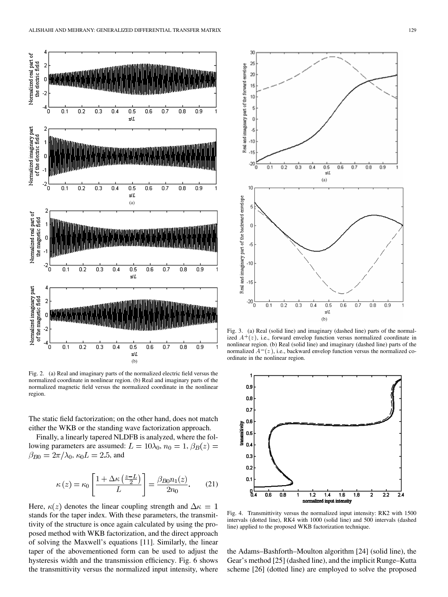

Fig. 2. (a) Real and imaginary parts of the normalized electric field versus the normalized coordinate in nonlinear region. (b) Real and imaginary parts of the normalized magnetic field versus the normalized coordinate in the nonlinear region.

The static field factorization; on the other hand, does not match either the WKB or the standing wave factorization approach.

Finally, a linearly tapered NLDFB is analyzed, where the following parameters are assumed:  $L = 10\lambda_0$ ,  $n_0 = 1$ ,  $\beta_B(z) =$  $\beta_{B0} = 2\pi/\lambda_0$ ,  $\kappa_0 L = 2.5$ , and

$$
\kappa(z) = \kappa_0 \left[ \frac{1 + \Delta \kappa \left( \frac{z - L}{2} \right)}{L} \right] = \frac{\beta_{B0} n_1(z)}{2n_0}.
$$
 (21)

Here,  $\kappa(z)$  denotes the linear coupling strength and  $\Delta \kappa = 1$ stands for the taper index. With these parameters, the transmittivity of the structure is once again calculated by using the proposed method with WKB factorization, and the direct approach of solving the Maxwell's equations [11]. Similarly, the linear taper of the abovementioned form can be used to adjust the hysteresis width and the transmission efficiency. Fig. 6 shows the transmittivity versus the normalized input intensity, where



Fig. 3. (a) Real (solid line) and imaginary (dashed line) parts of the normalized  $A^+(z)$ , i.e., forward envelop function versus normalized coordinate in nonlinear region. (b) Real (solid line) and imaginary (dashed line) parts of the normalized  $A^{-}(z)$ , i.e., backward envelop function versus the normalized coordinate in the nonlinear region.



Fig. 4. Transmittivity versus the normalized input intensity: RK2 with 1500 intervals (dotted line), RK4 with 1000 (solid line) and 500 intervals (dashed line) applied to the proposed WKB factorization technique.

the Adams–Bashforth–Moulton algorithm [24] (solid line), the Gear's method [25] (dashed line), and the implicit Runge–Kutta scheme [26] (dotted line) are employed to solve the proposed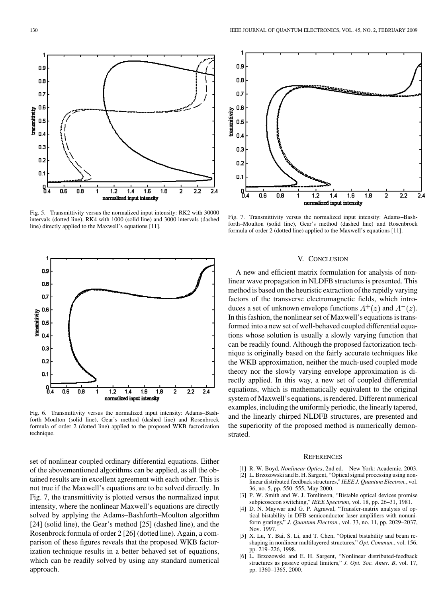Fig. 5. Transmittivity versus the normalized input intensity: RK2 with 30000 intervals (dotted line), RK4 with 1000 (solid line) and 3000 intervals (dashed line) directly applied to the Maxwell's equations [11].

 $1.4$ 

normalized input intensity

 $1.6$ 

1.8

2.2

 $1.2$ 

Fig. 6. Transmittivity versus the normalized input intensity: Adams–Bashforth–Moulton (solid line), Gear's method (dashed line) and Rosenbrock formula of order 2 (dotted line) applied to the proposed WKB factorization technique.

set of nonlinear coupled ordinary differential equations. Either of the abovementioned algorithms can be applied, as all the obtained results are in excellent agreement with each other. This is not true if the Maxwell's equations are to be solved directly. In Fig. 7, the transmittivity is plotted versus the normalized input intensity, where the nonlinear Maxwell's equations are directly solved by applying the Adams–Bashforth–Moulton algorithm [24] (solid line), the Gear's method [25] (dashed line), and the Rosenbrock formula of order 2 [26] (dotted line). Again, a comparison of these figures reveals that the proposed WKB factorization technique results in a better behaved set of equations, which can be readily solved by using any standard numerical approach.

Fig. 7. Transmittivity versus the normalized input intensity: Adams–Bashforth–Moulton (solid line), Gear's method (dashed line) and Rosenbrock formula of order 2 (dotted line) applied to the Maxwell's equations [11].

## V. CONCLUSION

A new and efficient matrix formulation for analysis of nonlinear wave propagation in NLDFB structures is presented. This method is based on the heuristic extraction of the rapidly varying factors of the transverse electromagnetic fields, which introduces a set of unknown envelope functions  $A^+(z)$  and  $A^-(z)$ . In this fashion, the nonlinear set of Maxwell's equations is transformed into a new set of well-behaved coupled differential equations whose solution is usually a slowly varying function that can be readily found. Although the proposed factorization technique is originally based on the fairly accurate techniques like the WKB approximation, neither the much-used coupled mode theory nor the slowly varying envelope approximation is directly applied. In this way, a new set of coupled differential equations, which is mathematically equivalent to the original system of Maxwell's equations, is rendered. Different numerical examples, including the uniformly periodic, the linearly tapered, and the linearly chirped NLDFB structures, are presented and the superiority of the proposed method is numerically demonstrated.

#### **REFERENCES**

- [1] R. W. Boyd*, Nonlinear Optics*, 2nd ed. New York: Academic, 2003.
- [2] L. Brzozowski and E. H. Sargent, "Optical signal processing using nonlinear distributed feedback structures," *IEEE J. Quantum Electron.*, vol. 36, no. 5, pp. 550–555, May 2000.
- [3] P. W. Smith and W. J. Tomlinson, "Bistable optical devices promise subpicosecon switching," *IEEE Spectrum*, vol. 18, pp. 26–31, 1981.
- D. N. Maywar and G. P. Agrawal, "Transfer-matrix analysis of optical bistability in DFB semiconductor laser amplifiers with nonuniform gratings," *J. Quantum Electron.*, vol. 33, no. 11, pp. 2029–2037, Nov. 1997.
- [5] X. Lu, Y. Bai, S. Li, and T. Chen, "Optical bistability and beam reshaping in nonlinear multilayered structures," *Opt. Commun.*, vol. 156, pp. 219–226, 1998.
- [6] L. Brzozowski and E. H. Sargent, "Nonlinear distributed-feedback structures as passive optical limiters," *J. Opt. Soc. Amer. B*, vol. 17, pp. 1360–1365, 2000.





0.9

 $0.8$ 

 $0.7$ 

0.6

 $0.5$ 

 $0.4$ 

0.3

 $0.2$ 

0.1

8.

0.6

0.8

transmitivity